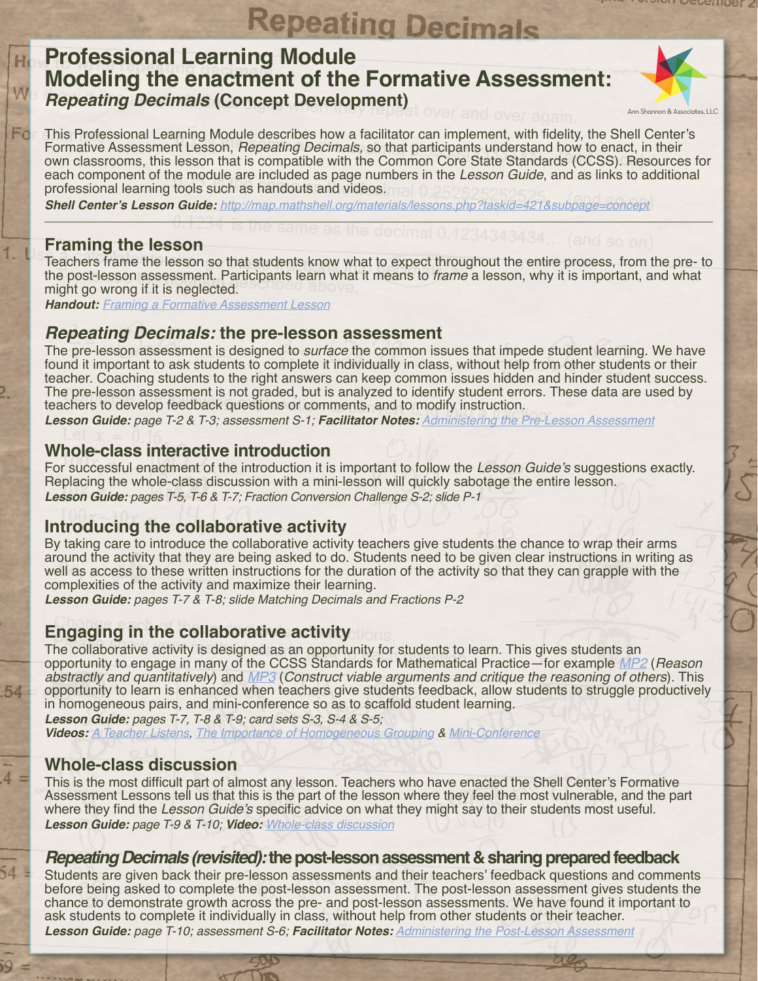## **Repeating Decimals Professional Learning Module Modeling the enactment of the Formative Assessment:**  *Repeating Decimals* **(Concept Development)**



This Professional Learning Module describes how a facilitator can implement, with fidelity, the Shell Center's Formative Assessment Lesson, *Repeating Decimals,* so that participants understand how to enact, in their own classrooms, this lesson that is compatible with the Common Core State Standards (CCSS). Resources for each component of the module are included as page numbers in the *Lesson Guide*, and as links to additional professional learning tools such as handouts and videos.

**Shell Center's Lesson Guide:** *http://map.mathshell.org/materials/lessons.php?taskid=421&subpage=concept*

## **Framing the lesson**

W

Fo

54

 $4:$ 

Teachers frame the lesson so that students know what to expect throughout the entire process, from the pre- to the post-lesson assessment. Participants learn what it means to *frame* a lesson, why it is important, and what might go wrong if it is neglected.

**Handout:** *[Framing a Formative Assessment Lesson](http://collegeready.gatesfoundation.org/portals/0/documents/facilitator%20guides%20supporting%20documentation/framing/Framing_Any_Lesson.pdf)*

## **Repeating Decimals: the pre-lesson assessment**

The pre-lesson assessment is designed to *surface* the common issues that impede student learning. We have found it important to ask students to complete it individually in class, without help from other students or their teacher. Coaching students to the right answers can keep common issues hidden and hinder student success. The pre-lesson assessment is not graded, but is analyzed to identify student errors. These data are used by teachers to develop feedback questions or comments, and to modify instruction.

**Lesson Guide:** *page T-2 & T-3; assessment S-1;* **Facilitator Notes:** *[Administering the Pre-Lesson Assessment](http://collegeready.gatesfoundation.org/portals/0/documents/facilitator%20guides%20supporting%20documentation/general%20files/Administering%20the%20Pre-lesson%20Assessment-02-THS.pdf)*

#### **Whole-class interactive introduction**

For successful enactment of the introduction it is important to follow the Lesson Guide's suggestions exactly. Replacing the whole-class discussion with a mini-lesson will quickly sabotage the entire lesson. **Lesson Guide:** *pages T-5, T-6 & T-7; Fraction Conversion Challenge S-2; slide P-1* 

## **Introducing the collaborative activity**

By taking care to introduce the collaborative activity teachers give students the chance to wrap their arms around the activity that they are being asked to do. Students need to be given clear instructions in writing as well as access to these written instructions for the duration of the activity so that they can grapple with the complexities of the activity and maximize their learning.

**Lesson Guide:** *pages T-7 & T-8; slide Matching Decimals and Fractions P-2*

## **Engaging in the collaborative activity**

The collaborative activity is designed as an opportunity for students to learn. This gives students an opportunity to engage in many of the CCSS Standards for Mathematical Practice—for example *[MP2](http://www.corestandards.org/Math/Practice/MP2)* (*Reason abstractly and quantitatively*) and *[MP3](http://www.corestandards.org/Math/Practice/MP3)* (*Construct viable arguments and critique the reasoning of others*). This opportunity to learn is enhanced when teachers give students feedback, allow students to struggle productively in homogeneous pairs, and mini-conference so as to scaffold student learning.

**Lesson Guide:** *pages T-7, T-8 & T-9; card sets S-3, S-4 & S-5;*  **Videos:** *[A Teacher Listens,](http://vimeo.com/73408510) [The Importance of Homogeneous Grouping](http://vimeo.com/73426089) & [Mini-Conference](http://vimeo.com/73704147)*

## **Whole-class discussion**

This is the most difficult part of almost any lesson. Teachers who have enacted the Shell Center's Formative Assessment Lessons tell us that this is the part of the lesson where they feel the most vulnerable, and the part where they find the Lesson Guide's specific advice on what they might say to their students most useful. **Lesson Guide:** *page T-9 & T-10;* **Video:** *[Whole-class discussion](http://vimeo.com/73704141)*

#### **Repeating Decimals (revisited): the post-lesson assessment & sharing prepared feedback**

Students are given back their pre-lesson assessments and their teachers' feedback questions and comments before being asked to complete the post-lesson assessment. The post-lesson assessment gives students the chance to demonstrate growth across the pre- and post-lesson assessments. We have found it important to ask students to complete it individually in class, without help from other students or their teacher. **Lesson Guide:** *page T-10; assessment S-6;* **Facilitator Notes:** *[Administering the Post-Lesson Assessment](http://collegeready.gatesfoundation.org/portals/0/documents/facilitator%20guides%20supporting%20documentation/general%20files/Administering%20the%20Post-lesson%20Assessment-02-THS.pdf)*